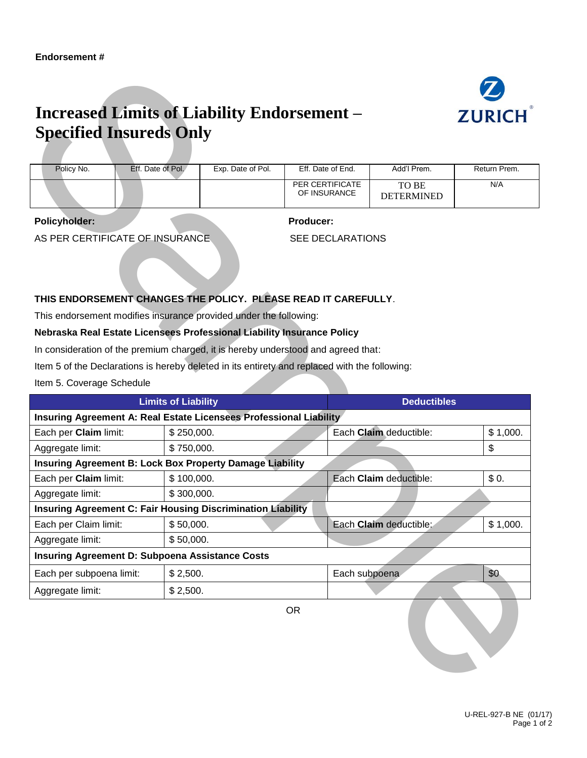

## **Increased Limits of Liability Endorsement – Specified Insureds Only**

| Policy No. | Eff. Date of Pol. | Exp. Date of Pol. | Eff. Date of End.               | Add'l Prem.                | Return Prem. |
|------------|-------------------|-------------------|---------------------------------|----------------------------|--------------|
|            |                   |                   | PER CERTIFICATE<br>OF INSURANCE | TO BE<br><b>DETERMINED</b> | N/A          |

## **Policyholder: Producer:**

## **THIS ENDORSEMENT CHANGES THE POLICY. PLEASE READ IT CAREFULLY**.

|                                                                                   | <b>Increased Limits of Liability Endorsement –</b><br><b>Specified Insureds Only</b>                                                                                                                                                                                                                                              |                                                                    |                                      |                        |                            | <b>ZURICH</b>       |
|-----------------------------------------------------------------------------------|-----------------------------------------------------------------------------------------------------------------------------------------------------------------------------------------------------------------------------------------------------------------------------------------------------------------------------------|--------------------------------------------------------------------|--------------------------------------|------------------------|----------------------------|---------------------|
|                                                                                   |                                                                                                                                                                                                                                                                                                                                   |                                                                    |                                      |                        |                            |                     |
| Policy No.                                                                        | Eff. Date of Pol.                                                                                                                                                                                                                                                                                                                 | Exp. Date of Pol.                                                  | Eff. Date of End.<br>PER CERTIFICATE |                        | Add'l Prem.                | Return Prem.<br>N/A |
|                                                                                   |                                                                                                                                                                                                                                                                                                                                   |                                                                    | OF INSURANCE                         |                        | TO BE<br><b>DETERMINED</b> |                     |
| <b>Policyholder:</b>                                                              |                                                                                                                                                                                                                                                                                                                                   |                                                                    | <b>Producer:</b>                     |                        |                            |                     |
|                                                                                   | AS PER CERTIFICATE OF INSURANCE                                                                                                                                                                                                                                                                                                   |                                                                    | <b>SEE DECLARATIONS</b>              |                        |                            |                     |
|                                                                                   | This endorsement modifies insurance provided under the following:<br>Nebraska Real Estate Licensees Professional Liability Insurance Policy<br>In consideration of the premium charged, it is hereby understood and agreed that:<br>Item 5 of the Declarations is hereby deleted in its entirety and replaced with the following: |                                                                    |                                      |                        |                            |                     |
| Item 5. Coverage Schedule                                                         | <b>Limits of Liability</b>                                                                                                                                                                                                                                                                                                        |                                                                    |                                      |                        | <b>Deductibles</b>         |                     |
|                                                                                   |                                                                                                                                                                                                                                                                                                                                   |                                                                    |                                      |                        |                            |                     |
|                                                                                   |                                                                                                                                                                                                                                                                                                                                   |                                                                    |                                      |                        |                            |                     |
|                                                                                   |                                                                                                                                                                                                                                                                                                                                   | Insuring Agreement A: Real Estate Licensees Professional Liability |                                      | Each Claim deductible: |                            |                     |
|                                                                                   | \$250,000.<br>\$750,000.                                                                                                                                                                                                                                                                                                          |                                                                    |                                      |                        |                            | \$                  |
|                                                                                   | <b>Insuring Agreement B: Lock Box Property Damage Liability</b>                                                                                                                                                                                                                                                                   |                                                                    |                                      |                        |                            | \$1,000.            |
| Each per Claim limit:<br>Each per Claim limit:                                    | \$100,000.                                                                                                                                                                                                                                                                                                                        |                                                                    |                                      | Each Claim deductible: |                            | \$0.                |
| Aggregate limit:                                                                  | \$300,000.                                                                                                                                                                                                                                                                                                                        |                                                                    |                                      |                        |                            |                     |
|                                                                                   | <b>Insuring Agreement C: Fair Housing Discrimination Liability</b>                                                                                                                                                                                                                                                                |                                                                    |                                      |                        |                            |                     |
|                                                                                   | \$50,000.                                                                                                                                                                                                                                                                                                                         |                                                                    |                                      | Each Claim deductible: |                            | \$1,000.            |
|                                                                                   | \$50,000.                                                                                                                                                                                                                                                                                                                         |                                                                    |                                      |                        |                            |                     |
|                                                                                   | <b>Insuring Agreement D: Subpoena Assistance Costs</b>                                                                                                                                                                                                                                                                            |                                                                    |                                      |                        |                            |                     |
| Each per subpoena limit:                                                          | \$2,500.                                                                                                                                                                                                                                                                                                                          |                                                                    |                                      | Each subpoena          |                            | \$0                 |
| Aggregate limit:<br>Each per Claim limit:<br>Aggregate limit:<br>Aggregate limit: | \$2,500.                                                                                                                                                                                                                                                                                                                          |                                                                    |                                      |                        |                            |                     |